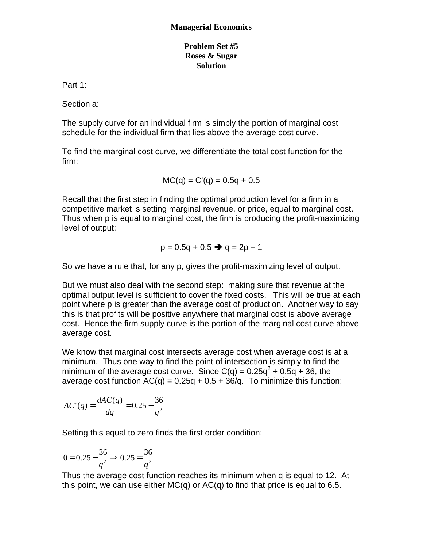## **Problem Set #5 Roses & Sugar Solution**

Part 1:

Section a:

The supply curve for an individual firm is simply the portion of marginal cost schedule for the individual firm that lies above the average cost curve.

To find the marginal cost curve, we differentiate the total cost function for the firm:

$$
MC(q) = C'(q) = 0.5q + 0.5
$$

Recall that the first step in finding the optimal production level for a firm in a competitive market is setting marginal revenue, or price, equal to marginal cost. Thus when p is equal to marginal cost, the firm is producing the profit-maximizing level of output:

$$
p = 0.5q + 0.5 \rightarrow q = 2p - 1
$$

So we have a rule that, for any p, gives the profit-maximizing level of output.

But we must also deal with the second step: making sure that revenue at the optimal output level is sufficient to cover the fixed costs. This will be true at each point where p is greater than the average cost of production. Another way to say this is that profits will be positive anywhere that marginal cost is above average cost. Hence the firm supply curve is the portion of the marginal cost curve above average cost.

We know that marginal cost intersects average cost when average cost is at a minimum. Thus one way to find the point of intersection is simply to find the minimum of the average cost curve. Since  $C(q) = 0.25q^2 + 0.5q + 36$ , the average cost function  $AC(q) = 0.25q + 0.5 + 36/q$ . To minimize this function:

$$
AC'(q) = \frac{dAC(q)}{dq} = 0.25 - \frac{36}{q^2}
$$

Setting this equal to zero finds the first order condition:

$$
0 = 0.25 - \frac{36}{q^2} \Rightarrow 0.25 = \frac{36}{q^2}
$$

Thus the average cost function reaches its minimum when q is equal to 12. At this point, we can use either MC(q) or  $AC(q)$  to find that price is equal to 6.5.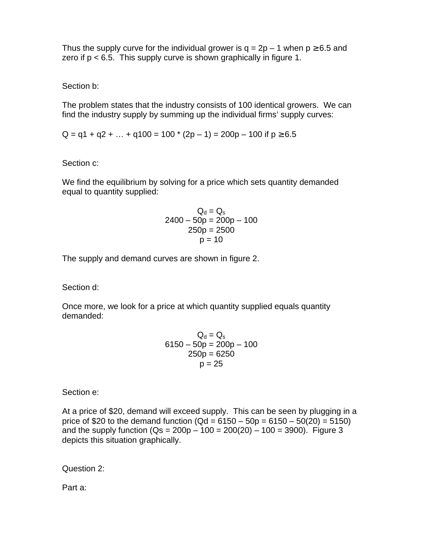Thus the supply curve for the individual grower is  $q = 2p - 1$  when  $p \ge 6.5$  and zero if  $p < 6.5$ . This supply curve is shown graphically in figure 1.

Section b:

The problem states that the industry consists of 100 identical growers. We can find the industry supply by summing up the individual firms' supply curves:

 $Q = q1 + q2 + ... + q100 = 100 * (2p - 1) = 200p - 100$  if  $p \ge 6.5$ 

Section c:

We find the equilibrium by solving for a price which sets quantity demanded equal to quantity supplied:

$$
Qd = Qs
$$
  
2400 - 50p = 200p - 100  
250p = 2500  
p = 10

The supply and demand curves are shown in figure 2.

Section d:

Once more, we look for a price at which quantity supplied equals quantity demanded:

$$
Qd = Qs\n6150 - 50p = 200p - 100\n\n250p = 6250\n\np = 25
$$

Section e:

At a price of \$20, demand will exceed supply. This can be seen by plugging in a price of \$20 to the demand function (Qd =  $6150 - 50p = 6150 - 50(20) = 5150$ ) and the supply function  $(Qs = 200p - 100 = 200(20) - 100 = 3900)$ . Figure 3 depicts this situation graphically.

Question 2:

Part a: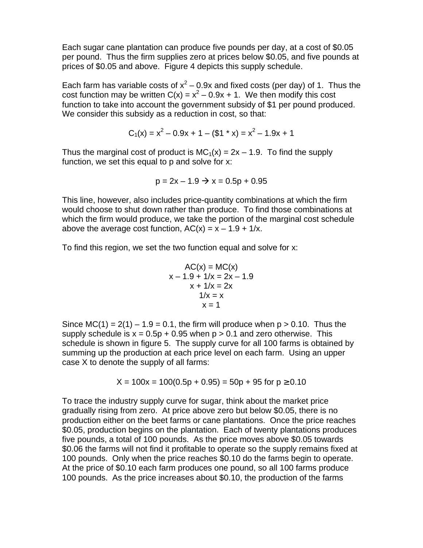Each sugar cane plantation can produce five pounds per day, at a cost of \$0.05 per pound. Thus the firm supplies zero at prices below \$0.05, and five pounds at prices of \$0.05 and above. Figure 4 depicts this supply schedule.

Each farm has variable costs of  $x^2$  – 0.9x and fixed costs (per day) of 1. Thus the cost function may be written  $C(x) = x^2 - 0.9x + 1$ . We then modify this cost function to take into account the government subsidy of \$1 per pound produced. We consider this subsidy as a reduction in cost, so that:

$$
C_1(x) = x^2 - 0.9x + 1 - (\$1 * x) = x^2 - 1.9x + 1
$$

Thus the marginal cost of product is  $MC_1(x) = 2x - 1.9$ . To find the supply function, we set this equal to p and solve for x:

$$
p = 2x - 1.9 \rightarrow x = 0.5p + 0.95
$$

This line, however, also includes price-quantity combinations at which the firm would choose to shut down rather than produce. To find those combinations at which the firm would produce, we take the portion of the marginal cost schedule above the average cost function,  $AC(x) = x - 1.9 + 1/x$ .

To find this region, we set the two function equal and solve for x:

$$
AC(x) = MC(x)
$$
  
x - 1.9 + 1/x = 2x - 1.9  
x + 1/x = 2x  
1/x = x  
x = 1

Since  $MC(1) = 2(1) - 1.9 = 0.1$ , the firm will produce when  $p > 0.10$ . Thus the supply schedule is  $x = 0.5p + 0.95$  when  $p > 0.1$  and zero otherwise. This schedule is shown in figure 5. The supply curve for all 100 farms is obtained by summing up the production at each price level on each farm. Using an upper case X to denote the supply of all farms:

$$
X = 100x = 100(0.5p + 0.95) = 50p + 95 \text{ for } p \ge 0.10
$$

To trace the industry supply curve for sugar, think about the market price gradually rising from zero. At price above zero but below \$0.05, there is no production either on the beet farms or cane plantations. Once the price reaches \$0.05, production begins on the plantation. Each of twenty plantations produces five pounds, a total of 100 pounds. As the price moves above \$0.05 towards \$0.06 the farms will not find it profitable to operate so the supply remains fixed at 100 pounds. Only when the price reaches \$0.10 do the farms begin to operate. At the price of \$0.10 each farm produces one pound, so all 100 farms produce 100 pounds. As the price increases about \$0.10, the production of the farms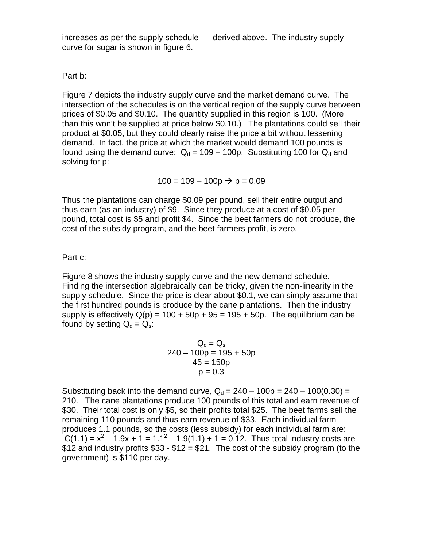increases as per the supply schedule derived above. The industry supply curve for sugar is shown in figure 6.

Part b:

Figure 7 depicts the industry supply curve and the market demand curve. The intersection of the schedules is on the vertical region of the supply curve between prices of \$0.05 and \$0.10. The quantity supplied in this region is 100. (More than this won't be supplied at price below \$0.10.) The plantations could sell their product at \$0.05, but they could clearly raise the price a bit without lessening demand. In fact, the price at which the market would demand 100 pounds is found using the demand curve:  $Q_d = 109 - 100p$ . Substituting 100 for  $Q_d$  and solving for p:

 $100 = 109 - 100p \rightarrow p = 0.09$ 

Thus the plantations can charge \$0.09 per pound, sell their entire output and thus earn (as an industry) of \$9. Since they produce at a cost of \$0.05 per pound, total cost is \$5 and profit \$4. Since the beet farmers do not produce, the cost of the subsidy program, and the beet farmers profit, is zero.

Part c:

Figure 8 shows the industry supply curve and the new demand schedule. Finding the intersection algebraically can be tricky, given the non-linearity in the supply schedule. Since the price is clear about \$0.1, we can simply assume that the first hundred pounds is produce by the cane plantations. Then the industry supply is effectively  $Q(p) = 100 + 50p + 95 = 195 + 50p$ . The equilibrium can be found by setting  $Q_d = Q_s$ :

$$
Qd = Qs\n240 - 100p = 195 + 50p\n45 = 150p\np = 0.3
$$

Substituting back into the demand curve,  $Q_d = 240 - 100p = 240 - 100(0.30) =$ 210. The cane plantations produce 100 pounds of this total and earn revenue of \$30. Their total cost is only \$5, so their profits total \$25. The beet farms sell the remaining 110 pounds and thus earn revenue of \$33. Each individual farm produces 1.1 pounds, so the costs (less subsidy) for each individual farm are:  $C(1.1) = x^2 - 1.9x + 1 = 1.1^2 - 1.9(1.1) + 1 = 0.12$ . Thus total industry costs are \$12 and industry profits  $$33 - $12 = $21$ . The cost of the subsidy program (to the government) is \$110 per day.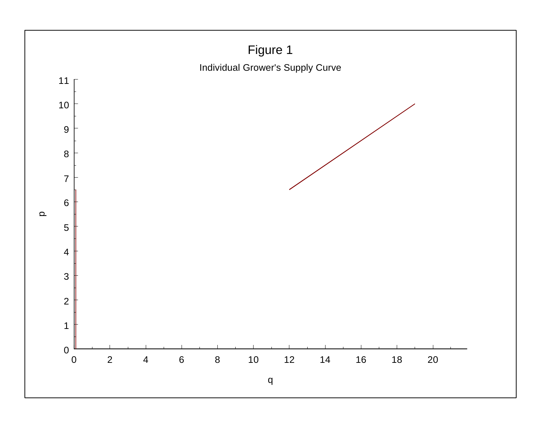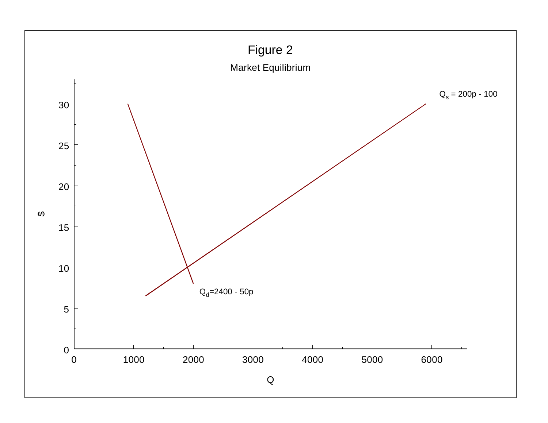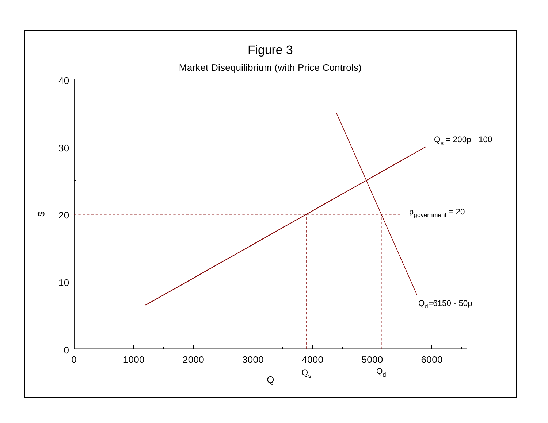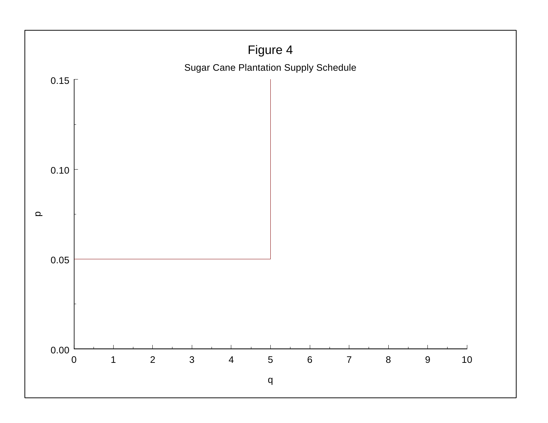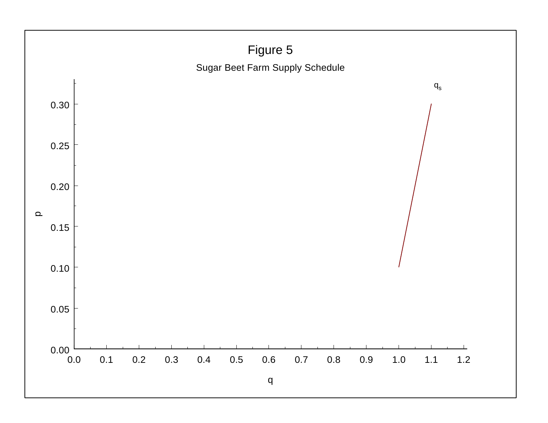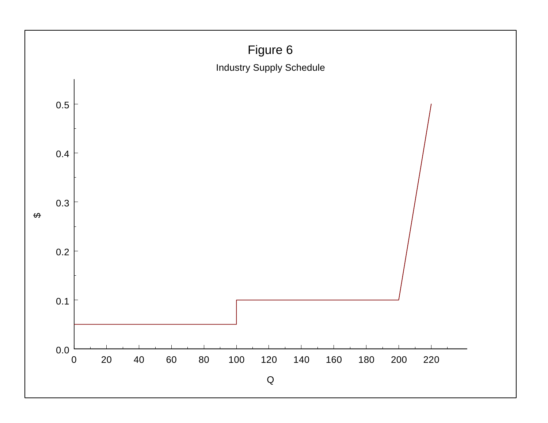